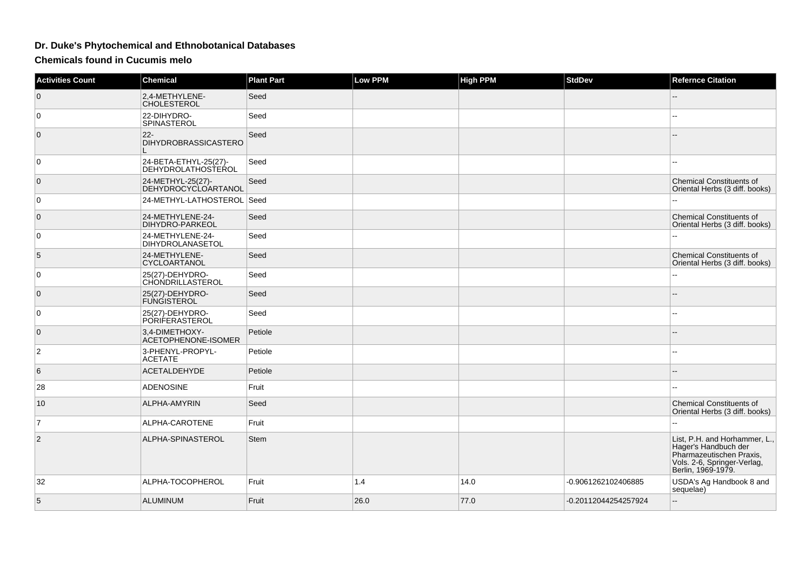## **Dr. Duke's Phytochemical and Ethnobotanical Databases**

**Chemicals found in Cucumis melo**

| <b>Activities Count</b> | <b>Chemical</b>                                 | <b>Plant Part</b> | <b>Low PPM</b> | <b>High PPM</b> | <b>StdDev</b>        | <b>Refernce Citation</b>                                                                                                               |
|-------------------------|-------------------------------------------------|-------------------|----------------|-----------------|----------------------|----------------------------------------------------------------------------------------------------------------------------------------|
| $\overline{0}$          | 2.4-METHYLENE-<br><b>CHOLESTEROL</b>            | Seed              |                |                 |                      |                                                                                                                                        |
| 0                       | 22-DIHYDRO-<br>SPINASTEROL                      | Seed              |                |                 |                      |                                                                                                                                        |
| $\mathbf{0}$            | $22 -$<br><b>DIHYDROBRASSICASTERO</b>           | Seed              |                |                 |                      |                                                                                                                                        |
| 0                       | 24-BETA-ETHYL-25(27)-<br>DEHYDROLATHOSTEROL     | Seed              |                |                 |                      |                                                                                                                                        |
| $\mathbf{0}$            | 24-METHYL-25(27)-<br><b>DEHYDROCYCLOARTANOL</b> | Seed              |                |                 |                      | <b>Chemical Constituents of</b><br>Oriental Herbs (3 diff. books)                                                                      |
| $\mathbf 0$             | 24-METHYL-LATHOSTEROL Seed                      |                   |                |                 |                      |                                                                                                                                        |
| $\mathbf 0$             | 24-METHYLENE-24-<br>DIHYDRO-PARKEOL             | Seed              |                |                 |                      | <b>Chemical Constituents of</b><br>Oriental Herbs (3 diff. books)                                                                      |
| $\mathbf 0$             | 24-METHYLENE-24-<br>DIHYDROLANASETOL            | Seed              |                |                 |                      |                                                                                                                                        |
| 5                       | 24-METHYLENE-<br>CYCLOARTANOL                   | Seed              |                |                 |                      | <b>Chemical Constituents of</b><br>Oriental Herbs (3 diff. books)                                                                      |
| 0                       | 25(27)-DEHYDRO-<br>CHONDRILLASTEROL             | Seed              |                |                 |                      |                                                                                                                                        |
| $\mathbf{0}$            | 25(27)-DEHYDRO-<br><b>FUNGISTEROL</b>           | Seed              |                |                 |                      |                                                                                                                                        |
| 0                       | 25(27)-DEHYDRO-<br><b>PORIFERASTEROL</b>        | Seed              |                |                 |                      |                                                                                                                                        |
| $\mathbf{0}$            | 3,4-DIMETHOXY-<br>ACETOPHENONE-ISOMER           | Petiole           |                |                 |                      |                                                                                                                                        |
| $\overline{2}$          | 3-PHENYL-PROPYL-<br><b>ACETATE</b>              | Petiole           |                |                 |                      |                                                                                                                                        |
| 6                       | <b>ACETALDEHYDE</b>                             | Petiole           |                |                 |                      |                                                                                                                                        |
| 28                      | <b>ADENOSINE</b>                                | Fruit             |                |                 |                      |                                                                                                                                        |
| 10                      | ALPHA-AMYRIN                                    | Seed              |                |                 |                      | Chemical Constituents of<br>Oriental Herbs (3 diff. books)                                                                             |
| $\overline{7}$          | ALPHA-CAROTENE                                  | Fruit             |                |                 |                      |                                                                                                                                        |
| 2                       | ALPHA-SPINASTEROL                               | <b>Stem</b>       |                |                 |                      | List, P.H. and Horhammer, L.,<br>Hager's Handbuch der<br>Pharmazeutischen Praxis,<br>Vols. 2-6, Springer-Verlag,<br>Berlin, 1969-1979. |
| 32                      | ALPHA-TOCOPHEROL                                | Fruit             | 1.4            | 14.0            | -0.9061262102406885  | USDA's Ag Handbook 8 and<br>sequelae)                                                                                                  |
| 5                       | <b>ALUMINUM</b>                                 | Fruit             | 26.0           | 77.0            | -0.20112044254257924 | $-$                                                                                                                                    |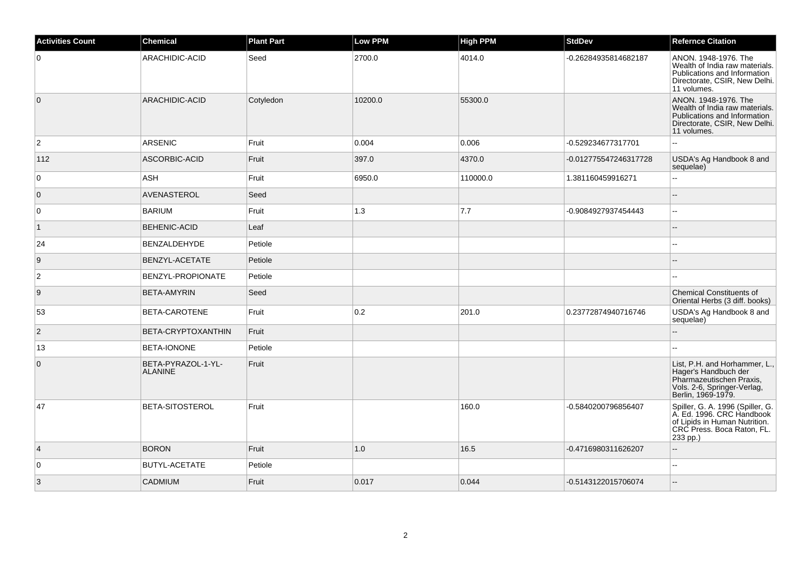| <b>Activities Count</b> | <b>Chemical</b>                      | <b>Plant Part</b> | <b>Low PPM</b> | <b>High PPM</b> | <b>StdDev</b>         | <b>Refernce Citation</b>                                                                                                                 |
|-------------------------|--------------------------------------|-------------------|----------------|-----------------|-----------------------|------------------------------------------------------------------------------------------------------------------------------------------|
| $\overline{0}$          | ARACHIDIC-ACID                       | Seed              | 2700.0         | 4014.0          | -0.26284935814682187  | ANON. 1948-1976. The<br>Wealth of India raw materials.<br>Publications and Information<br>Directorate, CSIR, New Delhi.<br>11 volumes.   |
| $\overline{0}$          | ARACHIDIC-ACID                       | Cotyledon         | 10200.0        | 55300.0         |                       | ANON. 1948-1976. The<br>Wealth of India raw materials.<br>Publications and Information<br>Directorate, CSIR, New Delhi.<br>11 volumes.   |
| $\overline{2}$          | <b>ARSENIC</b>                       | Fruit             | 0.004          | 0.006           | -0.529234677317701    | $\mathbf{u}$                                                                                                                             |
| 112                     | ASCORBIC-ACID                        | Fruit             | 397.0          | 4370.0          | -0.012775547246317728 | USDA's Ag Handbook 8 and<br>sequelae)                                                                                                    |
| $\overline{0}$          | <b>ASH</b>                           | Fruit             | 6950.0         | 110000.0        | 1.381160459916271     | $\sim$                                                                                                                                   |
| $\overline{0}$          | AVENASTEROL                          | Seed              |                |                 |                       | $\sim$                                                                                                                                   |
| 0                       | <b>BARIUM</b>                        | Fruit             | 1.3            | 7.7             | -0.9084927937454443   | $\overline{a}$                                                                                                                           |
| $\overline{1}$          | <b>BEHENIC-ACID</b>                  | Leaf              |                |                 |                       |                                                                                                                                          |
| 24                      | BENZALDEHYDE                         | Petiole           |                |                 |                       | $\sim$                                                                                                                                   |
| 9                       | BENZYL-ACETATE                       | Petiole           |                |                 |                       |                                                                                                                                          |
| $\overline{2}$          | BENZYL-PROPIONATE                    | Petiole           |                |                 |                       |                                                                                                                                          |
| 9                       | <b>BETA-AMYRIN</b>                   | Seed              |                |                 |                       | <b>Chemical Constituents of</b><br>Oriental Herbs (3 diff. books)                                                                        |
| 53                      | BETA-CAROTENE                        | Fruit             | 0.2            | 201.0           | 0.23772874940716746   | USDA's Ag Handbook 8 and<br>sequelae)                                                                                                    |
| $\vert$ 2               | BETA-CRYPTOXANTHIN                   | Fruit             |                |                 |                       |                                                                                                                                          |
| 13                      | <b>BETA-IONONE</b>                   | Petiole           |                |                 |                       |                                                                                                                                          |
| $\overline{0}$          | BETA-PYRAZOL-1-YL-<br><b>ALANINE</b> | Fruit             |                |                 |                       | List, P.H. and Horhammer, L.,<br>Hager's Handbuch der<br>Pharmazeutischen Praxis,<br>Vols. 2-6, Springer-Verlag,<br>Berlin, 1969-1979.   |
| 47                      | <b>BETA-SITOSTEROL</b>               | Fruit             |                | 160.0           | -0.5840200796856407   | Spiller, G. A. 1996 (Spiller, G.<br>A. Ed. 1996. CRC Handbook<br>of Lipids in Human Nutrition.<br>CRC Press. Boca Raton, FL.<br>233 pp.) |
| $\vert$ 4               | <b>BORON</b>                         | Fruit             | 1.0            | 16.5            | -0.4716980311626207   |                                                                                                                                          |
| $\overline{0}$          | <b>BUTYL-ACETATE</b>                 | Petiole           |                |                 |                       | $\sim$                                                                                                                                   |
| 3                       | <b>CADMIUM</b>                       | Fruit             | 0.017          | 0.044           | -0.5143122015706074   |                                                                                                                                          |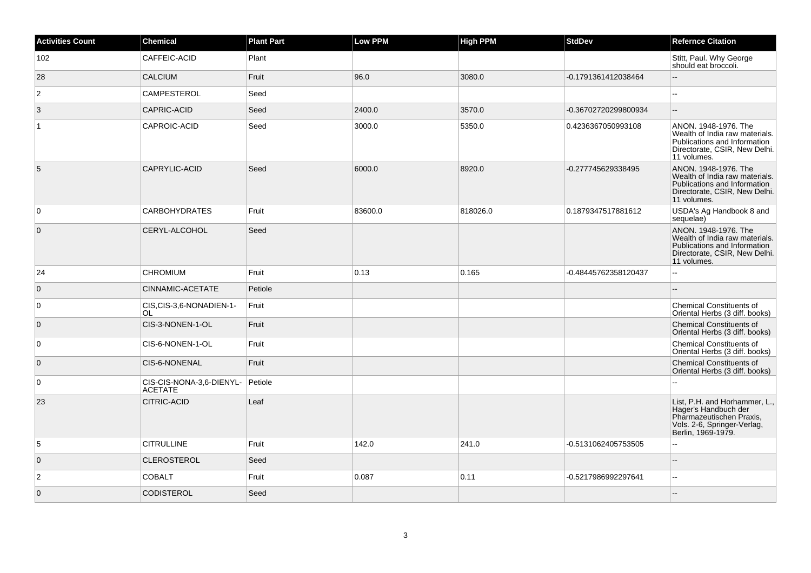| <b>Activities Count</b> | <b>Chemical</b>                            | <b>Plant Part</b> | <b>Low PPM</b> | <b>High PPM</b> | <b>StdDev</b>        | <b>Refernce Citation</b>                                                                                                               |
|-------------------------|--------------------------------------------|-------------------|----------------|-----------------|----------------------|----------------------------------------------------------------------------------------------------------------------------------------|
| 102                     | CAFFEIC-ACID                               | Plant             |                |                 |                      | Stitt, Paul. Why George<br>should eat broccoli.                                                                                        |
| 28                      | <b>CALCIUM</b>                             | Fruit             | 96.0           | 3080.0          | -0.1791361412038464  | $-$                                                                                                                                    |
| $\overline{2}$          | <b>CAMPESTEROL</b>                         | Seed              |                |                 |                      | ۵.                                                                                                                                     |
| 3                       | <b>CAPRIC-ACID</b>                         | Seed              | 2400.0         | 3570.0          | -0.36702720299800934 | ш,                                                                                                                                     |
|                         | CAPROIC-ACID                               | Seed              | 3000.0         | 5350.0          | 0.4236367050993108   | ANON. 1948-1976. The<br>Wealth of India raw materials.<br>Publications and Information<br>Directorate, CSIR, New Delhi.<br>11 volumes. |
| 5                       | CAPRYLIC-ACID                              | Seed              | 6000.0         | 8920.0          | -0.277745629338495   | ANON. 1948-1976. The<br>Wealth of India raw materials.<br>Publications and Information<br>Directorate, CSIR, New Delhi.<br>11 volumes. |
| $\overline{0}$          | <b>CARBOHYDRATES</b>                       | Fruit             | 83600.0        | 818026.0        | 0.1879347517881612   | USDA's Ag Handbook 8 and<br>sequelae)                                                                                                  |
| $\overline{0}$          | CERYL-ALCOHOL                              | Seed              |                |                 |                      | ANON. 1948-1976. The<br>Wealth of India raw materials.<br>Publications and Information<br>Directorate, CSIR, New Delhi.<br>11 volumes. |
| 24                      | <b>CHROMIUM</b>                            | Fruit             | 0.13           | 0.165           | -0.48445762358120437 | Ξ.                                                                                                                                     |
| $\overline{0}$          | CINNAMIC-ACETATE                           | Petiole           |                |                 |                      |                                                                                                                                        |
| 0                       | CIS, CIS-3, 6-NONADIEN-1-<br><b>OL</b>     | Fruit             |                |                 |                      | <b>Chemical Constituents of</b><br>Oriental Herbs (3 diff. books)                                                                      |
| $\overline{0}$          | CIS-3-NONEN-1-OL                           | Fruit             |                |                 |                      | <b>Chemical Constituents of</b><br>Oriental Herbs (3 diff. books)                                                                      |
| $\overline{0}$          | CIS-6-NONEN-1-OL                           | Fruit             |                |                 |                      | <b>Chemical Constituents of</b><br>Oriental Herbs (3 diff. books)                                                                      |
| $\overline{0}$          | CIS-6-NONENAL                              | Fruit             |                |                 |                      | <b>Chemical Constituents of</b><br>Oriental Herbs (3 diff. books)                                                                      |
| $\overline{0}$          | CIS-CIS-NONA-3,6-DIENYL-<br><b>ACETATE</b> | Petiole           |                |                 |                      |                                                                                                                                        |
| 23                      | <b>CITRIC-ACID</b>                         | Leaf              |                |                 |                      | List, P.H. and Horhammer, L.,<br>Hager's Handbuch der<br>Pharmazeutischen Praxis,<br>Vols. 2-6, Springer-Verlag,<br>Berlin, 1969-1979. |
| $\sqrt{5}$              | <b>CITRULLINE</b>                          | Fruit             | 142.0          | 241.0           | -0.5131062405753505  |                                                                                                                                        |
| $\overline{0}$          | <b>CLEROSTEROL</b>                         | Seed              |                |                 |                      | --                                                                                                                                     |
| $\overline{2}$          | <b>COBALT</b>                              | Fruit             | 0.087          | 0.11            | -0.5217986992297641  | ц.                                                                                                                                     |
| $\overline{0}$          | CODISTEROL                                 | Seed              |                |                 |                      |                                                                                                                                        |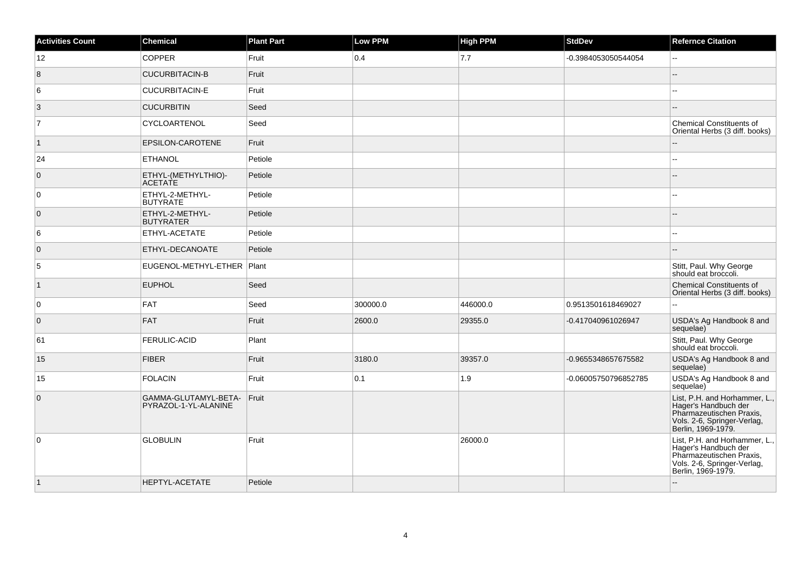| <b>Activities Count</b> | Chemical                                     | <b>Plant Part</b> | Low PPM  | <b>High PPM</b> | <b>StdDev</b>        | <b>Refernce Citation</b>                                                                                                               |
|-------------------------|----------------------------------------------|-------------------|----------|-----------------|----------------------|----------------------------------------------------------------------------------------------------------------------------------------|
| 12                      | <b>COPPER</b>                                | Fruit             | 0.4      | 7.7             | -0.3984053050544054  | ш,                                                                                                                                     |
| 8                       | <b>CUCURBITACIN-B</b>                        | Fruit             |          |                 |                      |                                                                                                                                        |
| 6                       | <b>CUCURBITACIN-E</b>                        | Fruit             |          |                 |                      | ٠.                                                                                                                                     |
| 3                       | <b>CUCURBITIN</b>                            | Seed              |          |                 |                      | ÷.                                                                                                                                     |
| 17                      | CYCLOARTENOL                                 | Seed              |          |                 |                      | <b>Chemical Constituents of</b><br>Oriental Herbs (3 diff. books)                                                                      |
| $\vert$ 1               | EPSILON-CAROTENE                             | Fruit             |          |                 |                      |                                                                                                                                        |
| 24                      | <b>ETHANOL</b>                               | Petiole           |          |                 |                      | шш.                                                                                                                                    |
| $\overline{0}$          | ETHYL-(METHYLTHIO)-<br><b>ACETATE</b>        | Petiole           |          |                 |                      | --                                                                                                                                     |
| $\overline{0}$          | ETHYL-2-METHYL-<br><b>BUTYRATE</b>           | Petiole           |          |                 |                      | н.                                                                                                                                     |
| $\overline{0}$          | ETHYL-2-METHYL-<br><b>BUTYRATER</b>          | Petiole           |          |                 |                      |                                                                                                                                        |
| 6                       | ETHYL-ACETATE                                | Petiole           |          |                 |                      | 44                                                                                                                                     |
| $\overline{0}$          | ETHYL-DECANOATE                              | Petiole           |          |                 |                      | ш,                                                                                                                                     |
| 5                       | EUGENOL-METHYL-ETHER   Plant                 |                   |          |                 |                      | Stitt, Paul. Why George<br>should eat broccoli.                                                                                        |
| $\overline{1}$          | <b>EUPHOL</b>                                | Seed              |          |                 |                      | Chemical Constituents of<br>Oriental Herbs (3 diff. books)                                                                             |
| 0                       | <b>FAT</b>                                   | Seed              | 300000.0 | 446000.0        | 0.9513501618469027   | L.                                                                                                                                     |
| $\overline{0}$          | <b>FAT</b>                                   | Fruit             | 2600.0   | 29355.0         | -0.417040961026947   | USDA's Ag Handbook 8 and<br>sequelae)                                                                                                  |
| 61                      | <b>FERULIC-ACID</b>                          | Plant             |          |                 |                      | Stitt, Paul. Why George<br>should eat broccoli.                                                                                        |
| 15                      | <b>FIBER</b>                                 | Fruit             | 3180.0   | 39357.0         | -0.9655348657675582  | USDA's Ag Handbook 8 and<br>sequelae)                                                                                                  |
| 15                      | <b>FOLACIN</b>                               | Fruit             | 0.1      | 1.9             | -0.06005750796852785 | USDA's Ag Handbook 8 and<br>sequelae)                                                                                                  |
| $\overline{0}$          | GAMMA-GLUTAMYL-BETA-<br>PYRAZOL-1-YL-ALANINE | Fruit             |          |                 |                      | List, P.H. and Horhammer, L.,<br>Hager's Handbuch der<br>Pharmazeutischen Praxis.<br>Vols. 2-6, Springer-Verlag,<br>Berlin, 1969-1979. |
| 0                       | <b>GLOBULIN</b>                              | Fruit             |          | 26000.0         |                      | List, P.H. and Horhammer, L.,<br>Hager's Handbuch der<br>Pharmazeutischen Praxis,<br>Vols. 2-6, Springer-Verlag,<br>Berlin, 1969-1979. |
| $\vert$ 1               | HEPTYL-ACETATE                               | Petiole           |          |                 |                      |                                                                                                                                        |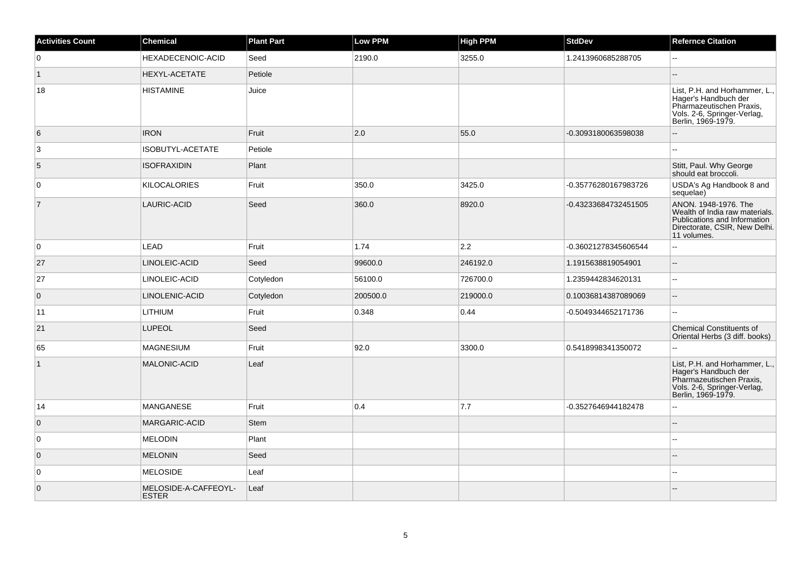| <b>Activities Count</b> | <b>Chemical</b>                      | <b>Plant Part</b> | <b>Low PPM</b> | High PPM | <b>StdDev</b>        | <b>Refernce Citation</b>                                                                                                               |
|-------------------------|--------------------------------------|-------------------|----------------|----------|----------------------|----------------------------------------------------------------------------------------------------------------------------------------|
| $\overline{0}$          | HEXADECENOIC-ACID                    | Seed              | 2190.0         | 3255.0   | 1.2413960685288705   | $\sim$                                                                                                                                 |
| $\overline{1}$          | <b>HEXYL-ACETATE</b>                 | Petiole           |                |          |                      |                                                                                                                                        |
| 18                      | <b>HISTAMINE</b>                     | Juice             |                |          |                      | List, P.H. and Horhammer, L.,<br>Hager's Handbuch der<br>Pharmazeutischen Praxis,<br>Vols. 2-6, Springer-Verlag,<br>Berlin, 1969-1979. |
| 6                       | <b>IRON</b>                          | Fruit             | 2.0            | 55.0     | -0.3093180063598038  |                                                                                                                                        |
| 3                       | <b>ISOBUTYL-ACETATE</b>              | Petiole           |                |          |                      |                                                                                                                                        |
| 5                       | <b>ISOFRAXIDIN</b>                   | Plant             |                |          |                      | Stitt, Paul. Why George<br>should eat broccoli.                                                                                        |
| $\overline{0}$          | <b>KILOCALORIES</b>                  | Fruit             | 350.0          | 3425.0   | -0.35776280167983726 | USDA's Ag Handbook 8 and<br>sequelae)                                                                                                  |
| $\overline{7}$          | LAURIC-ACID                          | Seed              | 360.0          | 8920.0   | -0.43233684732451505 | ANON. 1948-1976. The<br>Wealth of India raw materials.<br>Publications and Information<br>Directorate, CSIR, New Delhi.<br>11 volumes. |
| 0                       | LEAD                                 | Fruit             | 1.74           | 2.2      | -0.36021278345606544 | $\sim$                                                                                                                                 |
| 27                      | LINOLEIC-ACID                        | Seed              | 99600.0        | 246192.0 | 1.1915638819054901   | $\mathbf{u}$                                                                                                                           |
| 27                      | LINOLEIC-ACID                        | Cotyledon         | 56100.0        | 726700.0 | 1.2359442834620131   | ä.                                                                                                                                     |
| $\overline{0}$          | LINOLENIC-ACID                       | Cotyledon         | 200500.0       | 219000.0 | 0.10036814387089069  | $\overline{a}$                                                                                                                         |
| 11                      | LITHIUM                              | Fruit             | 0.348          | 0.44     | -0.5049344652171736  | $\sim$                                                                                                                                 |
| 21                      | <b>LUPEOL</b>                        | Seed              |                |          |                      | <b>Chemical Constituents of</b><br>Oriental Herbs (3 diff. books)                                                                      |
| 65                      | <b>MAGNESIUM</b>                     | Fruit             | 92.0           | 3300.0   | 0.5418998341350072   | $\sim$                                                                                                                                 |
| $\mathbf{1}$            | MALONIC-ACID                         | Leaf              |                |          |                      | List, P.H. and Horhammer, L.,<br>Hager's Handbuch der<br>Pharmazeutischen Praxis,<br>Vols. 2-6, Springer-Verlag,<br>Berlin, 1969-1979. |
| 14                      | <b>MANGANESE</b>                     | Fruit             | 0.4            | 7.7      | -0.3527646944182478  |                                                                                                                                        |
| $\overline{0}$          | MARGARIC-ACID                        | <b>Stem</b>       |                |          |                      |                                                                                                                                        |
| $\overline{0}$          | <b>MELODIN</b>                       | Plant             |                |          |                      |                                                                                                                                        |
| $\overline{0}$          | <b>MELONIN</b>                       | Seed              |                |          |                      |                                                                                                                                        |
| $\overline{0}$          | <b>MELOSIDE</b>                      | Leaf              |                |          |                      | $\overline{\phantom{a}}$                                                                                                               |
| $\overline{0}$          | MELOSIDE-A-CAFFEOYL-<br><b>ESTER</b> | Leaf              |                |          |                      |                                                                                                                                        |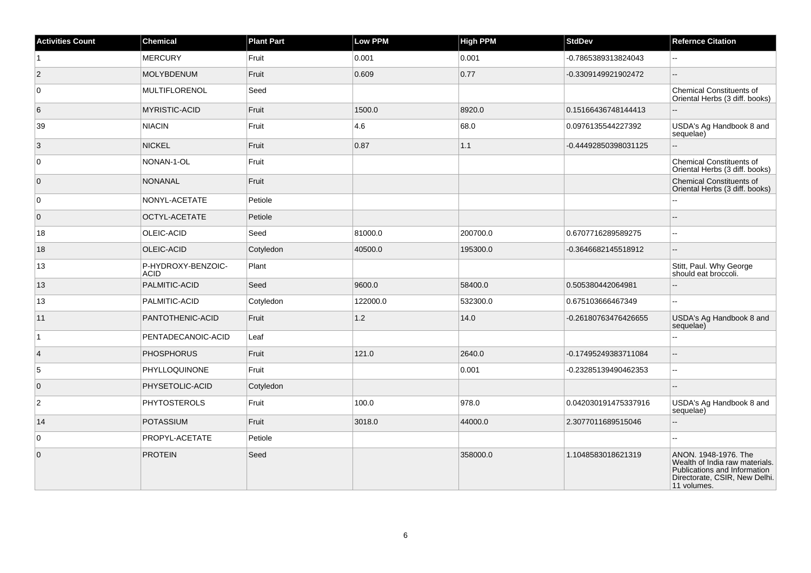| <b>Activities Count</b> | Chemical                          | <b>Plant Part</b> | Low PPM  | <b>High PPM</b> | <b>StdDev</b>        | <b>Refernce Citation</b>                                                                                                               |
|-------------------------|-----------------------------------|-------------------|----------|-----------------|----------------------|----------------------------------------------------------------------------------------------------------------------------------------|
| $\overline{1}$          | <b>MERCURY</b>                    | Fruit             | 0.001    | 0.001           | -0.7865389313824043  | $\overline{a}$                                                                                                                         |
| $\vert$ 2               | <b>MOLYBDENUM</b>                 | Fruit             | 0.609    | 0.77            | -0.3309149921902472  | $\overline{a}$                                                                                                                         |
| $\overline{0}$          | <b>MULTIFLORENOL</b>              | Seed              |          |                 |                      | <b>Chemical Constituents of</b><br>Oriental Herbs (3 diff. books)                                                                      |
| 6                       | MYRISTIC-ACID                     | Fruit             | 1500.0   | 8920.0          | 0.15166436748144413  |                                                                                                                                        |
| 39                      | <b>NIACIN</b>                     | Fruit             | 4.6      | 68.0            | 0.0976135544227392   | USDA's Ag Handbook 8 and<br>sequelae)                                                                                                  |
| 3                       | <b>NICKEL</b>                     | Fruit             | 0.87     | 1.1             | -0.44492850398031125 | $\overline{a}$                                                                                                                         |
| 0                       | NONAN-1-OL                        | Fruit             |          |                 |                      | <b>Chemical Constituents of</b><br>Oriental Herbs (3 diff. books)                                                                      |
| $\overline{0}$          | <b>NONANAL</b>                    | Fruit             |          |                 |                      | Chemical Constituents of<br>Oriental Herbs (3 diff. books)                                                                             |
| $\overline{0}$          | NONYL-ACETATE                     | Petiole           |          |                 |                      |                                                                                                                                        |
| $\overline{0}$          | OCTYL-ACETATE                     | Petiole           |          |                 |                      |                                                                                                                                        |
| 18                      | OLEIC-ACID                        | Seed              | 81000.0  | 200700.0        | 0.6707716289589275   | шш.                                                                                                                                    |
| 18                      | OLEIC-ACID                        | Cotyledon         | 40500.0  | 195300.0        | -0.3646682145518912  | $-$                                                                                                                                    |
| 13                      | P-HYDROXY-BENZOIC-<br><b>ACID</b> | Plant             |          |                 |                      | Stitt, Paul. Why George<br>should eat broccoli.                                                                                        |
| 13                      | PALMITIC-ACID                     | Seed              | 9600.0   | 58400.0         | 0.505380442064981    |                                                                                                                                        |
| 13                      | PALMITIC-ACID                     | Cotyledon         | 122000.0 | 532300.0        | 0.675103666467349    | н.                                                                                                                                     |
| 11                      | PANTOTHENIC-ACID                  | Fruit             | 1.2      | 14.0            | -0.26180763476426655 | USDA's Ag Handbook 8 and<br>sequelae)                                                                                                  |
| $\mathbf{1}$            | PENTADECANOIC-ACID                | Leaf              |          |                 |                      | L.                                                                                                                                     |
| $\vert$ 4               | <b>PHOSPHORUS</b>                 | Fruit             | 121.0    | 2640.0          | -0.17495249383711084 | Ξ.                                                                                                                                     |
| 5                       | PHYLLOQUINONE                     | Fruit             |          | 0.001           | -0.23285139490462353 | L.                                                                                                                                     |
| $\overline{0}$          | PHYSETOLIC-ACID                   | Cotyledon         |          |                 |                      |                                                                                                                                        |
| $\overline{2}$          | <b>PHYTOSTEROLS</b>               | Fruit             | 100.0    | 978.0           | 0.042030191475337916 | USDA's Ag Handbook 8 and<br>sequelae)                                                                                                  |
| 14                      | POTASSIUM                         | Fruit             | 3018.0   | 44000.0         | 2.3077011689515046   | Ξ.                                                                                                                                     |
| $\overline{0}$          | PROPYL-ACETATE                    | Petiole           |          |                 |                      | Ξ.                                                                                                                                     |
| $\overline{0}$          | <b>PROTEIN</b>                    | Seed              |          | 358000.0        | 1.1048583018621319   | ANON. 1948-1976. The<br>Wealth of India raw materials.<br>Publications and Information<br>Directorate, CSIR, New Delhi.<br>11 volumes. |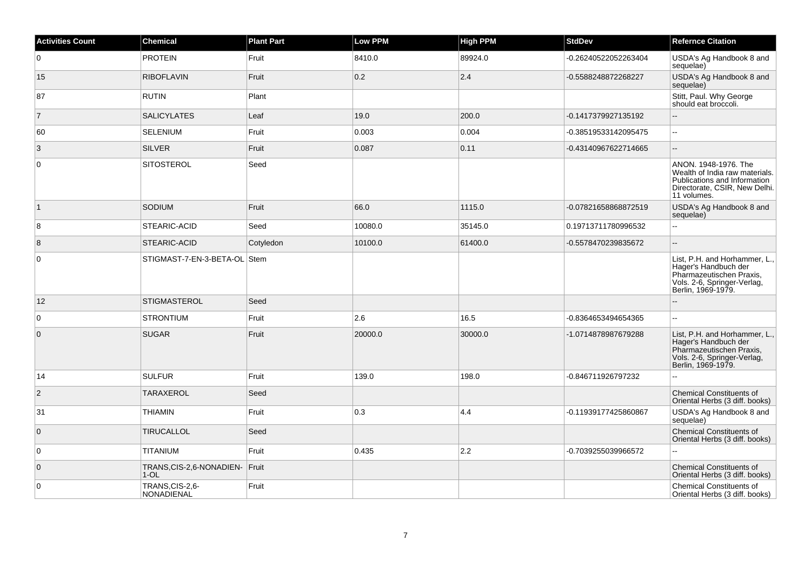| <b>Activities Count</b> | <b>Chemical</b>                           | <b>Plant Part</b> | <b>Low PPM</b> | <b>High PPM</b> | <b>StdDev</b>        | <b>Refernce Citation</b>                                                                                                               |
|-------------------------|-------------------------------------------|-------------------|----------------|-----------------|----------------------|----------------------------------------------------------------------------------------------------------------------------------------|
| 0                       | <b>PROTEIN</b>                            | Fruit             | 8410.0         | 89924.0         | -0.26240522052263404 | USDA's Ag Handbook 8 and<br>sequelae)                                                                                                  |
| 15                      | <b>RIBOFLAVIN</b>                         | Fruit             | 0.2            | 2.4             | -0.5588248872268227  | USDA's Ag Handbook 8 and<br>sequelae)                                                                                                  |
| 87                      | <b>RUTIN</b>                              | Plant             |                |                 |                      | Stitt, Paul. Why George<br>should eat broccoli.                                                                                        |
| $\overline{7}$          | <b>SALICYLATES</b>                        | Leaf              | 19.0           | 200.0           | -0.1417379927135192  |                                                                                                                                        |
| 60                      | <b>SELENIUM</b>                           | Fruit             | 0.003          | 0.004           | -0.38519533142095475 | $\overline{a}$                                                                                                                         |
| 3                       | <b>SILVER</b>                             | Fruit             | 0.087          | 0.11            | -0.43140967622714665 | Ξ.                                                                                                                                     |
| $\overline{0}$          | <b>SITOSTEROL</b>                         | Seed              |                |                 |                      | ANON. 1948-1976. The<br>Wealth of India raw materials.<br>Publications and Information<br>Directorate, CSIR, New Delhi.<br>11 volumes. |
| $\vert$ 1               | SODIUM                                    | Fruit             | 66.0           | 1115.0          | -0.07821658868872519 | USDA's Ag Handbook 8 and<br>sequelae)                                                                                                  |
| 8                       | STEARIC-ACID                              | Seed              | 10080.0        | 35145.0         | 0.19713711780996532  | $\overline{a}$                                                                                                                         |
| 8                       | STEARIC-ACID                              | Cotyledon         | 10100.0        | 61400.0         | -0.5578470239835672  |                                                                                                                                        |
| $\overline{0}$          | STIGMAST-7-EN-3-BETA-OL Stem              |                   |                |                 |                      | List, P.H. and Horhammer, L.,<br>Hager's Handbuch der<br>Pharmazeutischen Praxis,<br>Vols. 2-6, Springer-Verlag,<br>Berlin, 1969-1979. |
| 12                      | STIGMASTEROL                              | Seed              |                |                 |                      |                                                                                                                                        |
| $\overline{0}$          | <b>STRONTIUM</b>                          | Fruit             | 2.6            | 16.5            | -0.8364653494654365  | $\overline{a}$                                                                                                                         |
| $\overline{0}$          | <b>SUGAR</b>                              | Fruit             | 20000.0        | 30000.0         | -1.0714878987679288  | List, P.H. and Horhammer, L.,<br>Hager's Handbuch der<br>Pharmazeutischen Praxis,<br>Vols. 2-6, Springer-Verlag,<br>Berlin, 1969-1979. |
| 14                      | <b>SULFUR</b>                             | Fruit             | 139.0          | 198.0           | -0.846711926797232   | L.                                                                                                                                     |
| $\vert$ 2               | <b>TARAXEROL</b>                          | Seed              |                |                 |                      | <b>Chemical Constituents of</b><br>Oriental Herbs (3 diff. books)                                                                      |
| 31                      | <b>THIAMIN</b>                            | Fruit             | 0.3            | 4.4             | -0.11939177425860867 | USDA's Ag Handbook 8 and<br>sequelae)                                                                                                  |
| $\overline{0}$          | <b>TIRUCALLOL</b>                         | Seed              |                |                 |                      | <b>Chemical Constituents of</b><br>Oriental Herbs (3 diff. books)                                                                      |
| $\overline{0}$          | <b>TITANIUM</b>                           | Fruit             | 0.435          | 2.2             | -0.7039255039966572  |                                                                                                                                        |
| $\overline{0}$          | TRANS, CIS-2, 6-NONADIEN- Fruit<br>$1-OL$ |                   |                |                 |                      | <b>Chemical Constituents of</b><br>Oriental Herbs (3 diff. books)                                                                      |
| $\overline{0}$          | TRANS, CIS-2,6-<br><b>NONADIENAL</b>      | Fruit             |                |                 |                      | Chemical Constituents of<br>Oriental Herbs (3 diff. books)                                                                             |